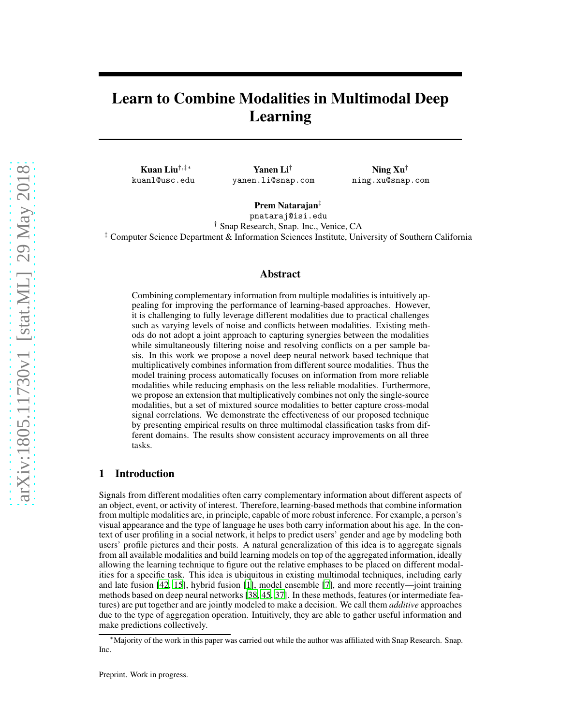# Learn to Combine Modalities in Multimodal Deep Learning

Kuan Liu†,‡∗ kuanl@usc.edu

Yanen Li† yanen.li@snap.com

Ning Xu† ning.xu@snap.com

Prem Natarajan‡ pnataraj@isi.edu † Snap Research, Snap. Inc., Venice, CA

‡ Computer Science Department & Information Sciences Institute, University of Southern California

## Abstract

Combining complementary information from multiple modalities is intuitively appealing for improving the performance of learning-based approaches. However, it is challenging to fully leverage different modalities due to practical challenges such as varying levels of noise and conflicts between modalities. Existing methods do not adopt a joint approach to capturing synergies between the modalities while simultaneously filtering noise and resolving conflicts on a per sample basis. In this work we propose a novel deep neural network based technique that multiplicatively combines information from different source modalities. Thus the model training process automatically focuses on information from more reliable modalities while reducing emphasis on the less reliable modalities. Furthermore, we propose an extension that multiplicatively combines not only the single-source modalities, but a set of mixtured source modalities to better capture cross-modal signal correlations. We demonstrate the effectiveness of our proposed technique by presenting empirical results on three multimodal classification tasks from different domains. The results show consistent accuracy improvements on all three tasks.

## 1 Introduction

Signals from different modalities often carry complementary information about different aspects of an object, event, or activity of interest. Therefore, learning-based methods that combine information from multiple modalities are, in principle, capable of more robust inference. For example, a person's visual appearance and the type of language he uses both carry information about his age. In the context of user profiling in a social network, it helps to predict users' gender and age by modeling both users' profile pictures and their posts. A natural generalization of this idea is to aggregate signals from all available modalities and build learning models on top of the aggregated information, ideally allowing the learning technique to figure out the relative emphases to be placed on different modalities for a specific task. This idea is ubiquitous in existing multimodal techniques, including early and late fusion [\[42](#page-14-0), [15\]](#page-13-0), hybrid fusion [\[1\]](#page-12-0), model ensemble [\[7\]](#page-12-1), and more recently—joint training methods based on deep neural networks [\[38,](#page-14-1) [45,](#page-14-2) [37](#page-14-3)]. In these methods, features (or intermediate features) are put together and are jointly modeled to make a decision. We call them *additive* approaches due to the type of aggregation operation. Intuitively, they are able to gather useful information and make predictions collectively.

<sup>∗</sup>Majority of the work in this paper was carried out while the author was affiliated with Snap Research. Snap. Inc.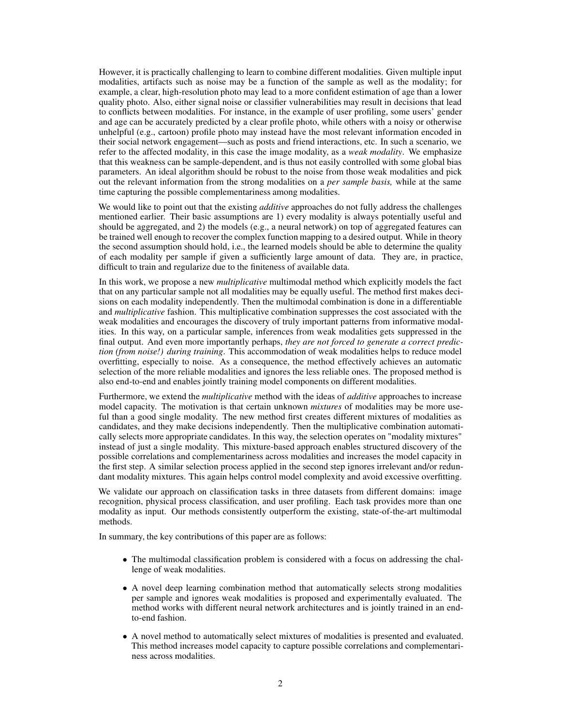However, it is practically challenging to learn to combine different modalities. Given multiple input modalities, artifacts such as noise may be a function of the sample as well as the modality; for example, a clear, high-resolution photo may lead to a more confident estimation of age than a lower quality photo. Also, either signal noise or classifier vulnerabilities may result in decisions that lead to conflicts between modalities. For instance, in the example of user profiling, some users' gender and age can be accurately predicted by a clear profile photo, while others with a noisy or otherwise unhelpful (e.g., cartoon) profile photo may instead have the most relevant information encoded in their social network engagement—such as posts and friend interactions, etc. In such a scenario, we refer to the affected modality, in this case the image modality, as a *weak modality*. We emphasize that this weakness can be sample-dependent, and is thus not easily controlled with some global bias parameters. An ideal algorithm should be robust to the noise from those weak modalities and pick out the relevant information from the strong modalities on a *per sample basis,* while at the same time capturing the possible complementariness among modalities.

We would like to point out that the existing *additive* approaches do not fully address the challenges mentioned earlier. Their basic assumptions are 1) every modality is always potentially useful and should be aggregated, and 2) the models (e.g., a neural network) on top of aggregated features can be trained well enough to recover the complex function mapping to a desired output. While in theory the second assumption should hold, i.e., the learned models should be able to determine the quality of each modality per sample if given a sufficiently large amount of data. They are, in practice, difficult to train and regularize due to the finiteness of available data.

In this work, we propose a new *multiplicative* multimodal method which explicitly models the fact that on any particular sample not all modalities may be equally useful. The method first makes decisions on each modality independently. Then the multimodal combination is done in a differentiable and *multiplicative* fashion. This multiplicative combination suppresses the cost associated with the weak modalities and encourages the discovery of truly important patterns from informative modalities. In this way, on a particular sample, inferences from weak modalities gets suppressed in the final output. And even more importantly perhaps, *they are not forced to generate a correct prediction (from noise!) during training*. This accommodation of weak modalities helps to reduce model overfitting, especially to noise. As a consequence, the method effectively achieves an automatic selection of the more reliable modalities and ignores the less reliable ones. The proposed method is also end-to-end and enables jointly training model components on different modalities.

Furthermore, we extend the *multiplicative* method with the ideas of *additive* approaches to increase model capacity. The motivation is that certain unknown *mixtures* of modalities may be more useful than a good single modality. The new method first creates different mixtures of modalities as candidates, and they make decisions independently. Then the multiplicative combination automatically selects more appropriate candidates. In this way, the selection operates on "modality mixtures" instead of just a single modality. This mixture-based approach enables structured discovery of the possible correlations and complementariness across modalities and increases the model capacity in the first step. A similar selection process applied in the second step ignores irrelevant and/or redundant modality mixtures. This again helps control model complexity and avoid excessive overfitting.

We validate our approach on classification tasks in three datasets from different domains: image recognition, physical process classification, and user profiling. Each task provides more than one modality as input. Our methods consistently outperform the existing, state-of-the-art multimodal methods.

In summary, the key contributions of this paper are as follows:

- The multimodal classification problem is considered with a focus on addressing the challenge of weak modalities.
- A novel deep learning combination method that automatically selects strong modalities per sample and ignores weak modalities is proposed and experimentally evaluated. The method works with different neural network architectures and is jointly trained in an endto-end fashion.
- A novel method to automatically select mixtures of modalities is presented and evaluated. This method increases model capacity to capture possible correlations and complementariness across modalities.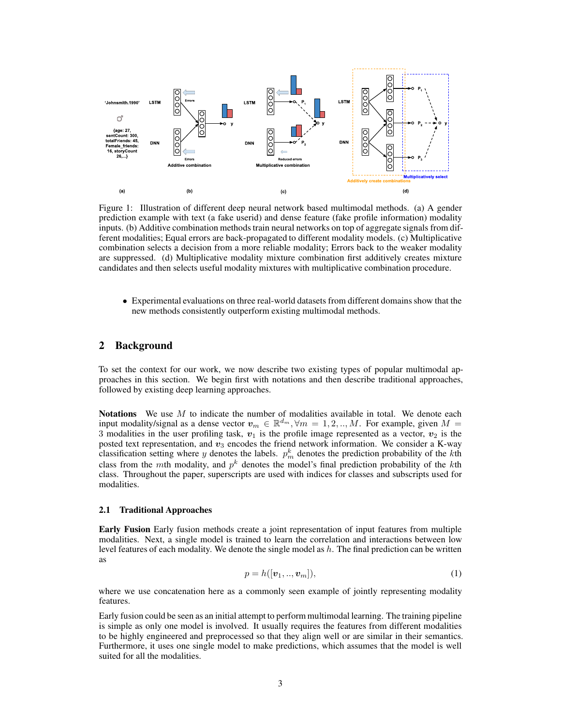<span id="page-2-0"></span>

Figure 1: Illustration of different deep neural network based multimodal methods. (a) A gender prediction example with text (a fake userid) and dense feature (fake profile information) modality inputs. (b) Additive combination methods train neural networks on top of aggregate signals from different modalities; Equal errors are back-propagated to different modality models. (c) Multiplicative combination selects a decision from a more reliable modality; Errors back to the weaker modality are suppressed. (d) Multiplicative modality mixture combination first additively creates mixture candidates and then selects useful modality mixtures with multiplicative combination procedure.

• Experimental evaluations on three real-world datasets from different domains show that the new methods consistently outperform existing multimodal methods.

## 2 Background

To set the context for our work, we now describe two existing types of popular multimodal approaches in this section. We begin first with notations and then describe traditional approaches, followed by existing deep learning approaches.

**Notations** We use  $M$  to indicate the number of modalities available in total. We denote each input modality/signal as a dense vector  $v_m \in \mathbb{R}^{d_m}$ ,  $\forall m = 1, 2, ..., M$ . For example, given  $M =$ 3 modalities in the user profiling task,  $v_1$  is the profile image represented as a vector,  $v_2$  is the posted text representation, and  $v_3$  encodes the friend network information. We consider a K-way classification setting where y denotes the labels.  $p_m^k$  denotes the prediction probability of the kth class from the mth modality, and  $p^k$  denotes the model's final prediction probability of the kth class. Throughout the paper, superscripts are used with indices for classes and subscripts used for modalities.

#### 2.1 Traditional Approaches

Early Fusion Early fusion methods create a joint representation of input features from multiple modalities. Next, a single model is trained to learn the correlation and interactions between low level features of each modality. We denote the single model as  $h$ . The final prediction can be written as

$$
p = h([v_1, \ldots, v_m]), \tag{1}
$$

where we use concatenation here as a commonly seen example of jointly representing modality features.

Early fusion could be seen as an initial attempt to perform multimodal learning. The training pipeline is simple as only one model is involved. It usually requires the features from different modalities to be highly engineered and preprocessed so that they align well or are similar in their semantics. Furthermore, it uses one single model to make predictions, which assumes that the model is well suited for all the modalities.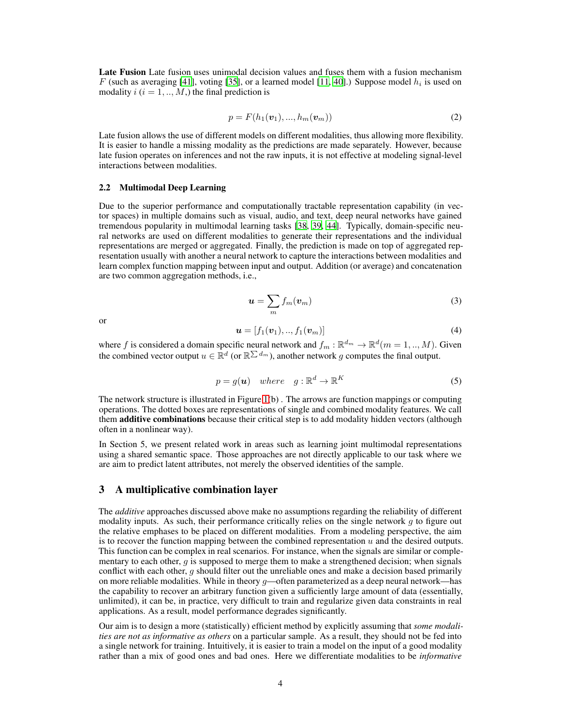Late Fusion Late fusion uses unimodal decision values and fuses them with a fusion mechanism F (such as averaging [\[41](#page-14-4)], voting [\[35](#page-14-5)], or a learned model [\[11](#page-12-2), [40\]](#page-14-6).) Suppose model  $h_i$  is used on modality  $i$  ( $i = 1, ..., M$ ) the final prediction is

$$
p = F(h_1(v_1), ..., h_m(v_m))
$$
\n(2)

Late fusion allows the use of different models on different modalities, thus allowing more flexibility. It is easier to handle a missing modality as the predictions are made separately. However, because late fusion operates on inferences and not the raw inputs, it is not effective at modeling signal-level interactions between modalities.

#### 2.2 Multimodal Deep Learning

Due to the superior performance and computationally tractable representation capability (in vector spaces) in multiple domains such as visual, audio, and text, deep neural networks have gained tremendous popularity in multimodal learning tasks [\[38,](#page-14-1) [39,](#page-14-7) [44\]](#page-14-8). Typically, domain-specific neural networks are used on different modalities to generate their representations and the individual representations are merged or aggregated. Finally, the prediction is made on top of aggregated representation usually with another a neural network to capture the interactions between modalities and learn complex function mapping between input and output. Addition (or average) and concatenation are two common aggregation methods, i.e.,

$$
u = \sum_{m} f_m(v_m) \tag{3}
$$

or

$$
\mathbf{u} = [f_1(\mathbf{v}_1), ..., f_1(\mathbf{v}_m)] \tag{4}
$$

where f is considered a domain specific neural network and  $f_m : \mathbb{R}^{d_m} \to \mathbb{R}^d (m = 1, ..., M)$ . Given the combined vector output  $u \in \mathbb{R}^d$  (or  $\mathbb{R}^{\sum d_m}$ ), another network g computes the final output.

$$
p = g(\mathbf{u}) \quad where \quad g: \mathbb{R}^d \to \mathbb{R}^K \tag{5}
$$

The network structure is illustrated in Figure  $1(b)$ . The arrows are function mappings or computing operations. The dotted boxes are representations of single and combined modality features. We call them additive combinations because their critical step is to add modality hidden vectors (although often in a nonlinear way).

In Section 5, we present related work in areas such as learning joint multimodal representations using a shared semantic space. Those approaches are not directly applicable to our task where we are aim to predict latent attributes, not merely the observed identities of the sample.

## <span id="page-3-0"></span>3 A multiplicative combination layer

The *additive* approaches discussed above make no assumptions regarding the reliability of different modality inputs. As such, their performance critically relies on the single network  $q$  to figure out the relative emphases to be placed on different modalities. From a modeling perspective, the aim is to recover the function mapping between the combined representation  $u$  and the desired outputs. This function can be complex in real scenarios. For instance, when the signals are similar or complementary to each other,  $g$  is supposed to merge them to make a strengthened decision; when signals conflict with each other,  $g$  should filter out the unreliable ones and make a decision based primarily on more reliable modalities. While in theory g—often parameterized as a deep neural network—has the capability to recover an arbitrary function given a sufficiently large amount of data (essentially, unlimited), it can be, in practice, very difficult to train and regularize given data constraints in real applications. As a result, model performance degrades significantly.

Our aim is to design a more (statistically) efficient method by explicitly assuming that *some modalities are not as informative as others* on a particular sample. As a result, they should not be fed into a single network for training. Intuitively, it is easier to train a model on the input of a good modality rather than a mix of good ones and bad ones. Here we differentiate modalities to be *informative*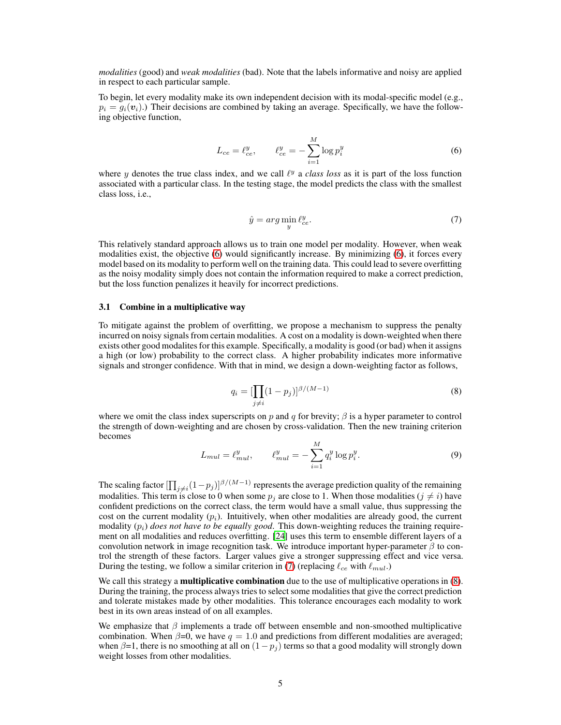*modalities* (good) and *weak modalities* (bad). Note that the labels informative and noisy are applied in respect to each particular sample.

<span id="page-4-0"></span>To begin, let every modality make its own independent decision with its modal-specific model (e.g.,  $p_i = g_i(v_i)$ .) Their decisions are combined by taking an average. Specifically, we have the following objective function,

$$
L_{ce} = \ell_{ce}^{y}, \qquad \ell_{ce}^{y} = -\sum_{i=1}^{M} \log p_{i}^{y}
$$
 (6)

<span id="page-4-1"></span>where y denotes the true class index, and we call  $\ell^y$  a *class loss* as it is part of the loss function associated with a particular class. In the testing stage, the model predicts the class with the smallest class loss, i.e.,

$$
\hat{y} = arg \min_{y} \ell_{ce}^{y}.
$$
\n(7)

This relatively standard approach allows us to train one model per modality. However, when weak modalities exist, the objective [\(6\)](#page-4-0) would significantly increase. By minimizing [\(6\)](#page-4-0), it forces every model based on its modality to perform well on the training data. This could lead to severe overfitting as the noisy modality simply does not contain the information required to make a correct prediction, but the loss function penalizes it heavily for incorrect predictions.

## 3.1 Combine in a multiplicative way

<span id="page-4-2"></span>To mitigate against the problem of overfitting, we propose a mechanism to suppress the penalty incurred on noisy signals from certain modalities. A cost on a modality is down-weighted when there exists other good modalites for this example. Specifically, a modality is good (or bad) when it assigns a high (or low) probability to the correct class. A higher probability indicates more informative signals and stronger confidence. With that in mind, we design a down-weighting factor as follows,

$$
q_i = \left[\prod_{j \neq i} (1 - p_j)\right]^{\beta/(M-1)}
$$
\n(8)

<span id="page-4-3"></span>where we omit the class index superscripts on p and q for brevity;  $\beta$  is a hyper parameter to control the strength of down-weighting and are chosen by cross-validation. Then the new training criterion becomes  $\lambda$ 

$$
L_{mul} = \ell_{mul}^{y}, \qquad \ell_{mul}^{y} = -\sum_{i=1}^{M} q_{i}^{y} \log p_{i}^{y}.
$$
 (9)

The scaling factor  $\left[\prod_{j\neq i}(1-p_j)\right]^{\beta/(M-1)}$  represents the average prediction quality of the remaining modalities. This term is close to 0 when some  $p_j$  are close to 1. When those modalities ( $j \neq i$ ) have confident predictions on the correct class, the term would have a small value, thus suppressing the cost on the current modality  $(p_i)$ . Intuitively, when other modalities are already good, the current modality  $(p_i)$  *does not have to be equally good*. This down-weighting reduces the training requirement on all modalities and reduces overfitting. [\[24\]](#page-13-1) uses this term to ensemble different layers of a convolution network in image recognition task. We introduce important hyper-parameter  $\beta$  to control the strength of these factors. Larger values give a stronger suppressing effect and vice versa. During the testing, we follow a similar criterion in [\(7\)](#page-4-1) (replacing  $\ell_{ce}$  with  $\ell_{mul}$ .)

We call this strategy a **multiplicative combination** due to the use of multiplicative operations in [\(8\)](#page-4-2). During the training, the process always tries to select some modalities that give the correct prediction and tolerate mistakes made by other modalities. This tolerance encourages each modality to work best in its own areas instead of on all examples.

We emphasize that  $\beta$  implements a trade off between ensemble and non-smoothed multiplicative combination. When  $\beta=0$ , we have  $q=1.0$  and predictions from different modalities are averaged; when  $\beta=1$ , there is no smoothing at all on  $(1-p_i)$  terms so that a good modality will strongly down weight losses from other modalities.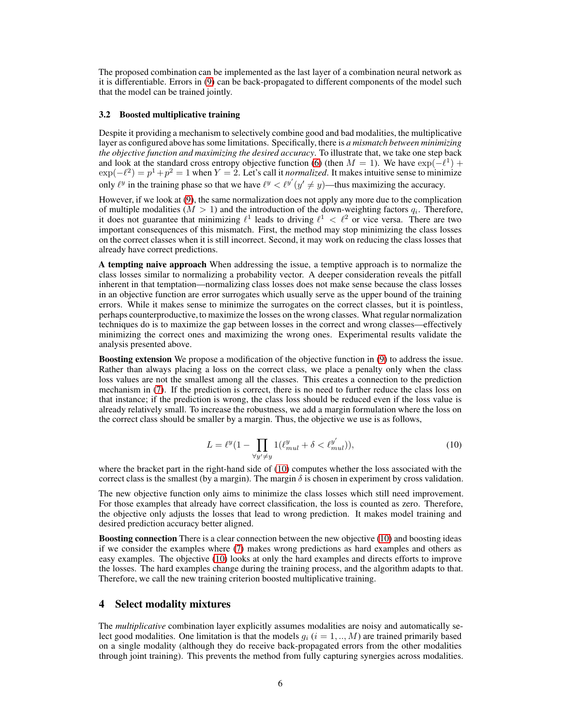The proposed combination can be implemented as the last layer of a combination neural network as it is differentiable. Errors in [\(9\)](#page-4-3) can be back-propagated to different components of the model such that the model can be trained jointly.

#### <span id="page-5-1"></span>3.2 Boosted multiplicative training

Despite it providing a mechanism to selectively combine good and bad modalities, the multiplicative layer as configured above has some limitations. Specifically, there is *a mismatch between minimizing the objective function and maximizing the desired accuracy*. To illustrate that, we take one step back and look at the standard cross entropy objective function [\(6\)](#page-4-0) (then  $M = 1$ ). We have  $\exp(-\ell^1)$  +  $\exp(-\ell^2) = p^1 + p^2 = 1$  when  $Y = 2$ . Let's call it *normalized*. It makes intuitive sense to minimize only  $\ell^y$  in the training phase so that we have  $\ell^y < \ell^{y'}(y' \neq y)$ —thus maximizing the accuracy.

However, if we look at [\(9\)](#page-4-3), the same normalization does not apply any more due to the complication of multiple modalities ( $M > 1$ ) and the introduction of the down-weighting factors  $q_i$ . Therefore, it does not guarantee that minimizing  $\ell^1$  leads to driving  $\ell^1 < \ell^2$  or vice versa. There are two important consequences of this mismatch. First, the method may stop minimizing the class losses on the correct classes when it is still incorrect. Second, it may work on reducing the class losses that already have correct predictions.

A tempting naive approach When addressing the issue, a temptive approach is to normalize the class losses similar to normalizing a probability vector. A deeper consideration reveals the pitfall inherent in that temptation—normalizing class losses does not make sense because the class losses in an objective function are error surrogates which usually serve as the upper bound of the training errors. While it makes sense to minimize the surrogates on the correct classes, but it is pointless, perhaps counterproductive,to maximize the losses on the wrong classes. What regular normalization techniques do is to maximize the gap between losses in the correct and wrong classes—effectively minimizing the correct ones and maximizing the wrong ones. Experimental results validate the analysis presented above.

Boosting extension We propose a modification of the objective function in [\(9\)](#page-4-3) to address the issue. Rather than always placing a loss on the correct class, we place a penalty only when the class loss values are not the smallest among all the classes. This creates a connection to the prediction mechanism in [\(7\)](#page-4-1). If the prediction is correct, there is no need to further reduce the class loss on that instance; if the prediction is wrong, the class loss should be reduced even if the loss value is already relatively small. To increase the robustness, we add a margin formulation where the loss on the correct class should be smaller by a margin. Thus, the objective we use is as follows,

$$
L = \ell^{y} \left(1 - \prod_{\forall y' \neq y} 1(\ell_{mul}^{y} + \delta < \ell_{mul}^{y'})\right),\tag{10}
$$

<span id="page-5-0"></span>where the bracket part in the right-hand side of [\(10\)](#page-5-0) computes whether the loss associated with the correct class is the smallest (by a margin). The margin  $\delta$  is chosen in experiment by cross validation.

The new objective function only aims to minimize the class losses which still need improvement. For those examples that already have correct classification, the loss is counted as zero. Therefore, the objective only adjusts the losses that lead to wrong prediction. It makes model training and desired prediction accuracy better aligned.

Boosting connection There is a clear connection between the new objective [\(10\)](#page-5-0) and boosting ideas if we consider the examples where [\(7\)](#page-4-1) makes wrong predictions as hard examples and others as easy examples. The objective [\(10\)](#page-5-0) looks at only the hard examples and directs efforts to improve the losses. The hard examples change during the training process, and the algorithm adapts to that. Therefore, we call the new training criterion boosted multiplicative training.

## 4 Select modality mixtures

The *multiplicative* combination layer explicitly assumes modalities are noisy and automatically select good modalities. One limitation is that the models  $g_i$  ( $i = 1, ..., M$ ) are trained primarily based on a single modality (although they do receive back-propagated errors from the other modalities through joint training). This prevents the method from fully capturing synergies across modalities.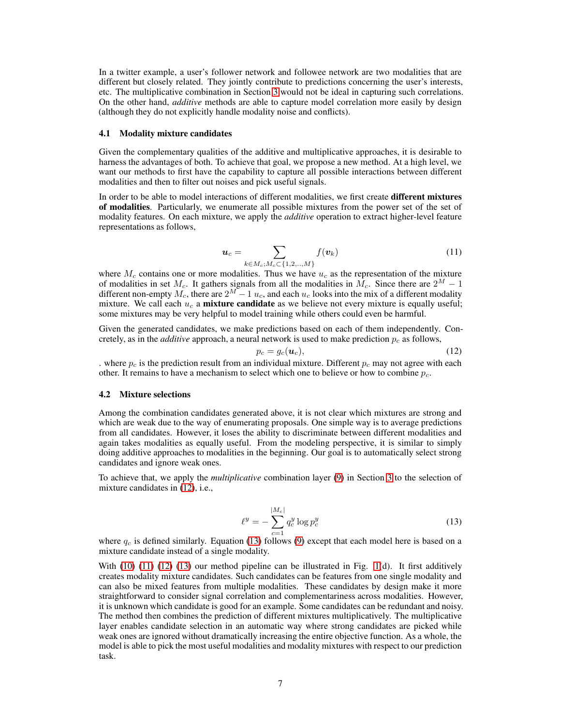In a twitter example, a user's follower network and followee network are two modalities that are different but closely related. They jointly contribute to predictions concerning the user's interests, etc. The multiplicative combination in Section [3](#page-3-0) would not be ideal in capturing such correlations. On the other hand, *additive* methods are able to capture model correlation more easily by design (although they do not explicitly handle modality noise and conflicts).

#### 4.1 Modality mixture candidates

Given the complementary qualities of the additive and multiplicative approaches, it is desirable to harness the advantages of both. To achieve that goal, we propose a new method. At a high level, we want our methods to first have the capability to capture all possible interactions between different modalities and then to filter out noises and pick useful signals.

<span id="page-6-2"></span>In order to be able to model interactions of different modalities, we first create different mixtures of modalities. Particularly, we enumerate all possible mixtures from the power set of the set of modality features. On each mixture, we apply the *additive* operation to extract higher-level feature representations as follows,

$$
\boldsymbol{u}_c = \sum_{k \in M_c; M_c \subset \{1, 2, \ldots, M\}} f(\boldsymbol{v}_k)
$$
\n(11)

where  $M_c$  contains one or more modalities. Thus we have  $u_c$  as the representation of the mixture of modalities in set  $M_c$ . It gathers signals from all the modalities in  $M_c$ . Since there are  $2^M - 1$ different non-empty  $M_c$ , there are  $2^M - 1$   $u_c$ , and each  $u_c$  looks into the mix of a different modality mixture. We call each  $u_c$  a **mixture candidate** as we believe not every mixture is equally useful; some mixtures may be very helpful to model training while others could even be harmful.

Given the generated candidates, we make predictions based on each of them independently. Concretely, as in the *additive* approach, a neural network is used to make prediction  $p_c$  as follows,

<span id="page-6-0"></span>
$$
p_c = g_c(\boldsymbol{u}_c),\tag{12}
$$

. where  $p_c$  is the prediction result from an individual mixture. Different  $p_c$  may not agree with each other. It remains to have a mechanism to select which one to believe or how to combine  $p_c$ .

#### 4.2 Mixture selections

Among the combination candidates generated above, it is not clear which mixtures are strong and which are weak due to the way of enumerating proposals. One simple way is to average predictions from all candidates. However, it loses the ability to discriminate between different modalities and again takes modalities as equally useful. From the modeling perspective, it is similar to simply doing additive approaches to modalities in the beginning. Our goal is to automatically select strong candidates and ignore weak ones.

<span id="page-6-1"></span>To achieve that, we apply the *multiplicative* combination layer [\(9\)](#page-4-3) in Section [3](#page-3-0) to the selection of mixture candidates in [\(12\)](#page-6-0), i.e.,

$$
\ell^y = -\sum_{c=1}^{|M_c|} q_c^y \log p_c^y \tag{13}
$$

where  $q_c$  is defined similarly. Equation [\(13\)](#page-6-1) follows [\(9\)](#page-4-3) except that each model here is based on a mixture candidate instead of a single modality.

With [\(10\)](#page-5-0) [\(11\)](#page-6-2) [\(12\)](#page-6-0) [\(13\)](#page-6-1) our method pipeline can be illustrated in Fig. [1\(](#page-2-0)d). It first additively creates modality mixture candidates. Such candidates can be features from one single modality and can also be mixed features from multiple modalities. These candidates by design make it more straightforward to consider signal correlation and complementariness across modalities. However, it is unknown which candidate is good for an example. Some candidates can be redundant and noisy. The method then combines the prediction of different mixtures multiplicatively. The multiplicative layer enables candidate selection in an automatic way where strong candidates are picked while weak ones are ignored without dramatically increasing the entire objective function. As a whole, the model is able to pick the most useful modalities and modality mixtures with respect to our prediction task.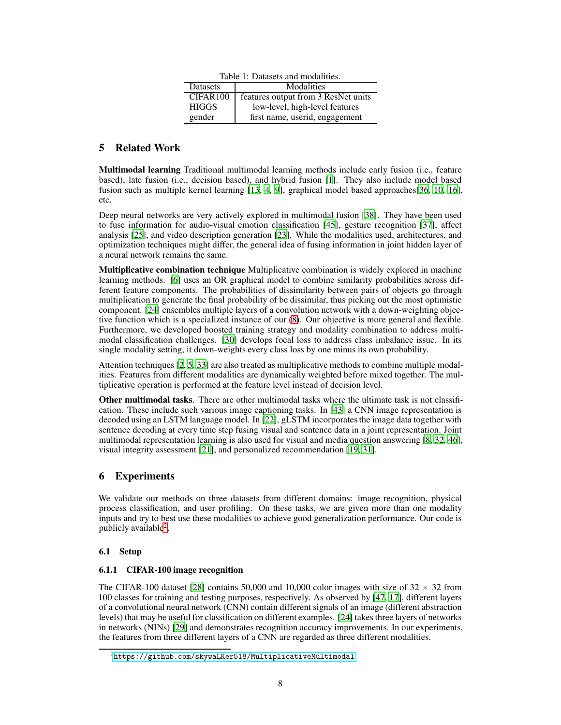| Table 1: Datasets and modalities. |                                     |  |
|-----------------------------------|-------------------------------------|--|
| Modalities<br>Datasets            |                                     |  |
| CIFAR <sub>100</sub>              | features output from 3 ResNet units |  |
| <b>HIGGS</b>                      | low-level, high-level features      |  |
| gender                            | first name, userid, engagement      |  |

## 5 Related Work

Multimodal learning Traditional multimodal learning methods include early fusion (i.e., feature based), late fusion (i.e., decision based), and hybrid fusion [\[1](#page-12-0)]. They also include model based fusion such as multiple kernel learning [\[13,](#page-12-3) [4](#page-12-4), [9](#page-12-5)], graphical model based approaches[\[36,](#page-14-9) [10,](#page-12-6) [16\]](#page-13-2), etc.

Deep neural networks are very actively explored in multimodal fusion [\[38](#page-14-1)]. They have been used to fuse information for audio-visual emotion classification [\[45\]](#page-14-2), gesture recognition [\[37\]](#page-14-3), affect analysis [\[25](#page-13-3)], and video description generation [\[23\]](#page-13-4). While the modalities used, architectures, and optimization techniques might differ, the general idea of fusing information in joint hidden layer of a neural network remains the same.

Multiplicative combination technique Multiplicative combination is widely explored in machine learning methods. [\[6](#page-12-7)] uses an OR graphical model to combine similarity probabilities across different feature components. The probabilities of dissimilarity between pairs of objects go through multiplication to generate the final probability of be dissimilar, thus picking out the most optimistic component. [\[24](#page-13-1)] ensembles multiple layers of a convolution network with a down-weighting objective function which is a specialized instance of our [\(8\)](#page-4-2). Our objective is more general and flexible. Furthermore, we developed boosted training strategy and modality combination to address multimodal classification challenges. [\[30\]](#page-13-5) develops focal loss to address class imbalance issue. In its single modality setting, it down-weights every class loss by one minus its own probability.

Attention techniques [\[2,](#page-12-8) [5](#page-12-9), [33\]](#page-14-10) are also treated as multiplicative methods to combine multiple modalities. Features from different modalities are dynamically weighted before mixed together. The multiplicative operation is performed at the feature level instead of decision level.

Other multimodal tasks. There are other multimodal tasks where the ultimate task is not classification. These include such various image captioning tasks. In [\[43\]](#page-14-11) a CNN image representation is decoded using an LSTM language model. In [\[22](#page-13-6)], gLSTM incorporates the image data together with sentence decoding at every time step fusing visual and sentence data in a joint representation. Joint multimodal representation learning is also used for visual and media question answering [\[8,](#page-12-10) [32,](#page-14-12) [46\]](#page-14-13), visual integrity assessment [\[21](#page-13-7)], and personalized recommendation [\[19,](#page-13-8) [31\]](#page-13-9).

# 6 Experiments

We validate our methods on three datasets from different domains: image recognition, physical process classification, and user profiling. On these tasks, we are given more than one modality inputs and try to best use these modalities to achieve good generalization performance. Our code is publicly available<sup>[2](#page-7-0)</sup>.

## 6.1 Setup

## 6.1.1 CIFAR-100 image recognition

The CIFAR-100 dataset [\[28\]](#page-13-10) contains 50,000 and 10,000 color images with size of  $32 \times 32$  from 100 classes for training and testing purposes, respectively. As observed by [\[47](#page-14-14), [17](#page-13-11)], different layers of a convolutional neural network (CNN) contain different signals of an image (different abstraction levels) that may be useful for classification on different examples. [\[24\]](#page-13-1) takes three layers of networks in networks (NINs) [\[29](#page-13-12)] and demonstrates recognition accuracy improvements. In our experiments, the features from three different layers of a CNN are regarded as three different modalities.

<span id="page-7-0"></span> $^{2}$ https://github.com/skywaLKer $518$ /MultiplicativeMultimodal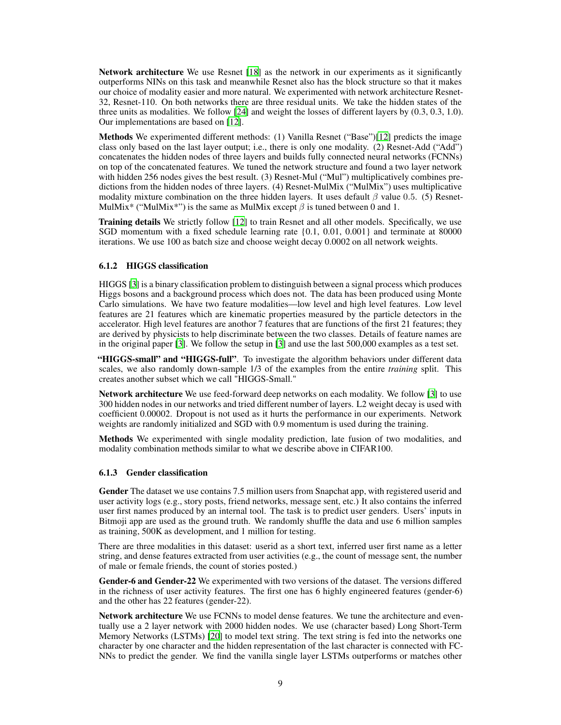Network architecture We use Resnet [\[18\]](#page-13-13) as the network in our experiments as it significantly outperforms NINs on this task and meanwhile Resnet also has the block structure so that it makes our choice of modality easier and more natural. We experimented with network architecture Resnet-32, Resnet-110. On both networks there are three residual units. We take the hidden states of the three units as modalities. We follow [\[24\]](#page-13-1) and weight the losses of different layers by (0.3, 0.3, 1.0). Our implementations are based on [\[12\]](#page-12-11).

Methods We experimented different methods: (1) Vanilla Resnet ("Base")[\[12\]](#page-12-11) predicts the image class only based on the last layer output; i.e., there is only one modality. (2) Resnet-Add ("Add") concatenates the hidden nodes of three layers and builds fully connected neural networks (FCNNs) on top of the concatenated features. We tuned the network structure and found a two layer network with hidden 256 nodes gives the best result. (3) Resnet-Mul ("Mul") multiplicatively combines predictions from the hidden nodes of three layers. (4) Resnet-MulMix ("MulMix") uses multiplicative modality mixture combination on the three hidden layers. It uses default  $\beta$  value 0.5. (5) Resnet-MulMix<sup>\*</sup> ("MulMix<sup>\*</sup>") is the same as MulMix except  $\beta$  is tuned between 0 and 1.

Training details We strictly follow [\[12\]](#page-12-11) to train Resnet and all other models. Specifically, we use SGD momentum with a fixed schedule learning rate {0.1, 0.01, 0.001} and terminate at 80000 iterations. We use 100 as batch size and choose weight decay 0.0002 on all network weights.

### 6.1.2 HIGGS classification

HIGGS [\[3\]](#page-12-12) is a binary classification problem to distinguish between a signal process which produces Higgs bosons and a background process which does not. The data has been produced using Monte Carlo simulations. We have two feature modalities—low level and high level features. Low level features are 21 features which are kinematic properties measured by the particle detectors in the accelerator. High level features are anothor 7 features that are functions of the first 21 features; they are derived by physicists to help discriminate between the two classes. Details of feature names are in the original paper [\[3](#page-12-12)]. We follow the setup in [\[3\]](#page-12-12) and use the last 500,000 examples as a test set.

"HIGGS-small" and "HIGGS-full". To investigate the algorithm behaviors under different data scales, we also randomly down-sample 1/3 of the examples from the entire *training* split. This creates another subset which we call "HIGGS-Small."

Network architecture We use feed-forward deep networks on each modality. We follow [\[3\]](#page-12-12) to use 300 hidden nodes in our networks and tried different number of layers. L2 weight decay is used with coefficient 0.00002. Dropout is not used as it hurts the performance in our experiments. Network weights are randomly initialized and SGD with 0.9 momentum is used during the training.

Methods We experimented with single modality prediction, late fusion of two modalities, and modality combination methods similar to what we describe above in CIFAR100.

#### 6.1.3 Gender classification

Gender The dataset we use contains 7.5 million users from Snapchat app, with registered userid and user activity logs (e.g., story posts, friend networks, message sent, etc.) It also contains the inferred user first names produced by an internal tool. The task is to predict user genders. Users' inputs in Bitmoji app are used as the ground truth. We randomly shuffle the data and use 6 million samples as training, 500K as development, and 1 million for testing.

There are three modalities in this dataset: userid as a short text, inferred user first name as a letter string, and dense features extracted from user activities (e.g., the count of message sent, the number of male or female friends, the count of stories posted.)

Gender-6 and Gender-22 We experimented with two versions of the dataset. The versions differed in the richness of user activity features. The first one has 6 highly engineered features (gender-6) and the other has 22 features (gender-22).

Network architecture We use FCNNs to model dense features. We tune the architecture and eventually use a 2 layer network with 2000 hidden nodes. We use (character based) Long Short-Term Memory Networks (LSTMs) [\[20\]](#page-13-14) to model text string. The text string is fed into the networks one character by one character and the hidden representation of the last character is connected with FC-NNs to predict the gender. We find the vanilla single layer LSTMs outperforms or matches other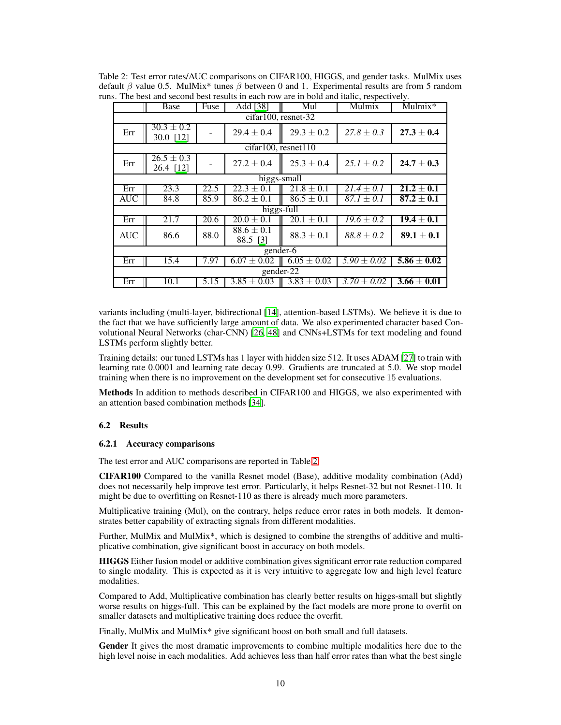|                                  | Base                                   | Fuse | Add [38]                   | Mul             | Mulmix          | Mulmix*                  |
|----------------------------------|----------------------------------------|------|----------------------------|-----------------|-----------------|--------------------------|
|                                  | cifar100, resnet-32                    |      |                            |                 |                 |                          |
| Err                              | $\overline{30.3} \pm 0.2$<br>30.0 [12] |      | $29.4 \pm 0.4$             | $29.3 \pm 0.2$  | $27.8 \pm 0.3$  | $27.3 \pm 0.4$           |
|                                  | $cifar100$ , resnet $110$              |      |                            |                 |                 |                          |
| Err                              | $26.5 \pm 0.3$<br>26.4 [12]            |      | $27.2 \pm 0.4$             | $25.3 \pm 0.4$  | $25.1 \pm 0.2$  | $24.7 \pm 0.3$           |
| $\overline{\text{higgs}}$ -small |                                        |      |                            |                 |                 |                          |
| Err                              | 23.3                                   | 22.5 | $22.3 \pm 0.1$             | $21.8 \pm 0.1$  | $21.4 \pm 0.1$  | $\overline{21.2\pm 0.1}$ |
| <b>AUC</b>                       | 84.8                                   | 85.9 | $86.2 \pm 0.1$             | $86.5 \pm 0.1$  | $87.1 \pm 0.1$  | $87.2 \pm 0.1$           |
| higgs-full                       |                                        |      |                            |                 |                 |                          |
| Err                              | 21.7                                   | 20.6 | $20.0 \pm 0.1$             | $20.1 \pm 0.1$  | $19.6 \pm 0.2$  | $19.4 \pm 0.1$           |
| <b>AUC</b>                       | 86.6                                   | 88.0 | $88.6 \pm 0.1$<br>88.5 [3] | $88.3 \pm 0.1$  | $88.8 \pm 0.2$  | $89.1 \pm 0.1$           |
| gender-6                         |                                        |      |                            |                 |                 |                          |
| Err                              | 15.4                                   | 7.97 | $6.07 \pm 0.02$            | $6.05 \pm 0.02$ | $5.90 \pm 0.02$ | $5.86 \pm 0.02$          |
| gender- $\overline{22}$          |                                        |      |                            |                 |                 |                          |
| Err                              | 10.1                                   | 5.15 | $3.85 \pm 0.03$            | $3.83 \pm 0.03$ | $3.70 \pm 0.02$ | $3.66 \pm 0.01$          |

<span id="page-9-0"></span>Table 2: Test error rates/AUC comparisons on CIFAR100, HIGGS, and gender tasks. MulMix uses default  $\beta$  value 0.5. MulMix<sup>\*</sup> tunes  $\beta$  between 0 and 1. Experimental results are from 5 random runs. The best and second best results in each row are in bold and italic, respectively.

variants including (multi-layer, bidirectional [\[14\]](#page-13-15), attention-based LSTMs). We believe it is due to the fact that we have sufficiently large amount of data. We also experimented character based Convolutional Neural Networks (char-CNN) [\[26,](#page-13-16) [48\]](#page-14-15) and CNNs+LSTMs for text modeling and found LSTMs perform slightly better.

Training details: our tuned LSTMs has 1 layer with hidden size 512. It uses ADAM [\[27\]](#page-13-17) to train with learning rate 0.0001 and learning rate decay 0.99. Gradients are truncated at 5.0. We stop model training when there is no improvement on the development set for consecutive 15 evaluations.

Methods In addition to methods described in CIFAR100 and HIGGS, we also experimented with an attention based combination methods [\[34](#page-14-16)].

### 6.2 Results

#### 6.2.1 Accuracy comparisons

The test error and AUC comparisons are reported in Table [2.](#page-9-0)

CIFAR100 Compared to the vanilla Resnet model (Base), additive modality combination (Add) does not necessarily help improve test error. Particularly, it helps Resnet-32 but not Resnet-110. It might be due to overfitting on Resnet-110 as there is already much more parameters.

Multiplicative training (Mul), on the contrary, helps reduce error rates in both models. It demonstrates better capability of extracting signals from different modalities.

Further, MulMix and MulMix\*, which is designed to combine the strengths of additive and multiplicative combination, give significant boost in accuracy on both models.

HIGGS Either fusion model or additive combination gives significant error rate reduction compared to single modality. This is expected as it is very intuitive to aggregate low and high level feature modalities.

Compared to Add, Multiplicative combination has clearly better results on higgs-small but slightly worse results on higgs-full. This can be explained by the fact models are more prone to overfit on smaller datasets and multiplicative training does reduce the overfit.

Finally, MulMix and MulMix\* give significant boost on both small and full datasets.

Gender It gives the most dramatic improvements to combine multiple modalities here due to the high level noise in each modalities. Add achieves less than half error rates than what the best single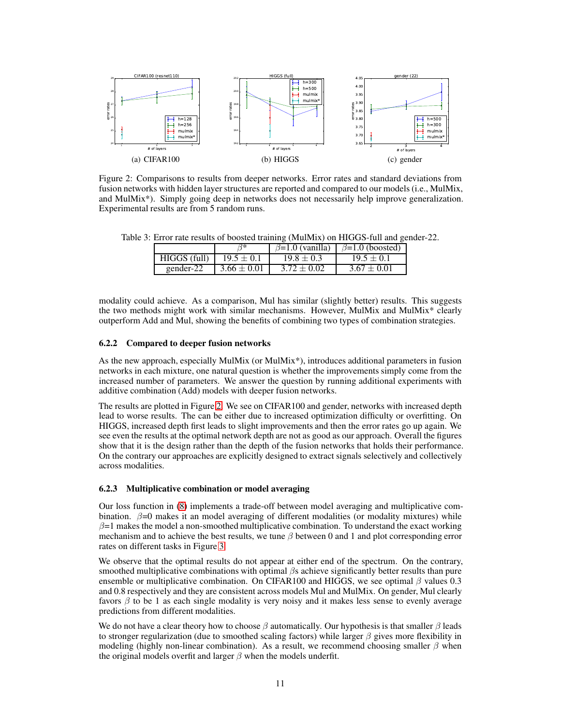<span id="page-10-0"></span>

Figure 2: Comparisons to results from deeper networks. Error rates and standard deviations from fusion networks with hidden layer structures are reported and compared to our models (i.e., MulMix, and MulMix\*). Simply going deep in networks does not necessarily help improve generalization. Experimental results are from 5 random runs.

<span id="page-10-1"></span>Table 3: Error rate results of boosted training (MulMix) on HIGGS-full and gender-22.

|              |                 |                | $\beta=1.0$ (vanilla) $\beta=1.0$ (boosted) |
|--------------|-----------------|----------------|---------------------------------------------|
| HIGGS (full) | $19.5 \pm 0.1$  | $19.8 \pm 0.3$ | $19.5 \pm 0.1$                              |
| gender-22    | $3.66 \pm 0.01$ | $3.72 + 0.02$  | $3.67 \pm 0.01$                             |

modality could achieve. As a comparison, Mul has similar (slightly better) results. This suggests the two methods might work with similar mechanisms. However, MulMix and MulMix\* clearly outperform Add and Mul, showing the benefits of combining two types of combination strategies.

#### 6.2.2 Compared to deeper fusion networks

As the new approach, especially MulMix (or MulMix\*), introduces additional parameters in fusion networks in each mixture, one natural question is whether the improvements simply come from the increased number of parameters. We answer the question by running additional experiments with additive combination (Add) models with deeper fusion networks.

The results are plotted in Figure [2.](#page-10-0) We see on CIFAR100 and gender, networks with increased depth lead to worse results. The can be either due to increased optimization difficulty or overfitting. On HIGGS, increased depth first leads to slight improvements and then the error rates go up again. We see even the results at the optimal network depth are not as good as our approach. Overall the figures show that it is the design rather than the depth of the fusion networks that holds their performance. On the contrary our approaches are explicitly designed to extract signals selectively and collectively across modalities.

#### 6.2.3 Multiplicative combination or model averaging

Our loss function in [\(8\)](#page-4-2) implements a trade-off between model averaging and multiplicative combination.  $\beta$ =0 makes it an model averaging of different modalities (or modality mixtures) while  $\beta$ =1 makes the model a non-smoothed multiplicative combination. To understand the exact working mechanism and to achieve the best results, we tune  $\beta$  between 0 and 1 and plot corresponding error rates on different tasks in Figure [3.](#page-11-0)

We observe that the optimal results do not appear at either end of the spectrum. On the contrary, smoothed multiplicative combinations with optimal  $\beta s$  achieve significantly better results than pure ensemble or multiplicative combination. On CIFAR100 and HIGGS, we see optimal  $\beta$  values 0.3 and 0.8 respectively and they are consistent across models Mul and MulMix. On gender, Mul clearly favors  $\beta$  to be 1 as each single modality is very noisy and it makes less sense to evenly average predictions from different modalities.

We do not have a clear theory how to choose  $\beta$  automatically. Our hypothesis is that smaller  $\beta$  leads to stronger regularization (due to smoothed scaling factors) while larger  $\beta$  gives more flexibility in modeling (highly non-linear combination). As a result, we recommend choosing smaller  $\beta$  when the original models overfit and larger  $\beta$  when the models underfit.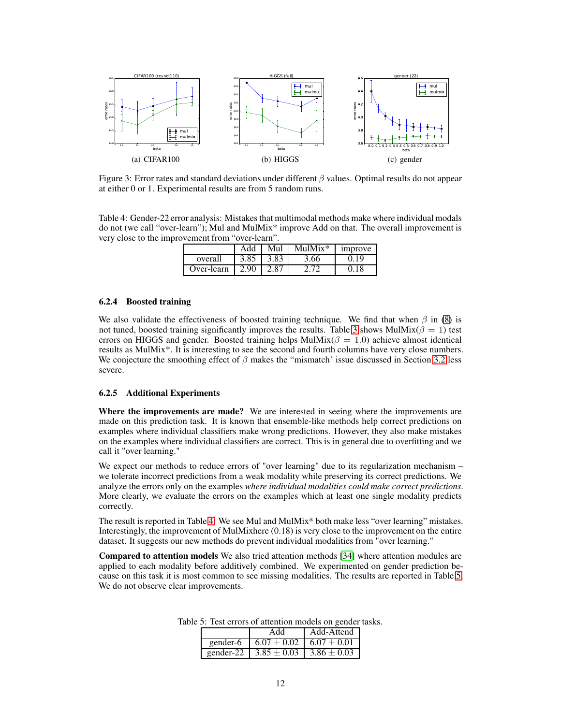<span id="page-11-0"></span>

Figure 3: Error rates and standard deviations under different  $\beta$  values. Optimal results do not appear at either 0 or 1. Experimental results are from 5 random runs.

<span id="page-11-1"></span>Table 4: Gender-22 error analysis: Mistakes that multimodal methods make where individual modals do not (we call "over-learn"); Mul and MulMix\* improve Add on that. The overall improvement is very close to the improvement from "over-learn".

|            | Add  | Mul  | $MIIMix*$ | <i>s improve</i> |
|------------|------|------|-----------|------------------|
| overall    | 3.85 | 3.83 | 3.66      | 0.19             |
| Over-learn | 2.90 | 2.87 |           | 0.18             |

#### 6.2.4 Boosted training

We also validate the effectiveness of boosted training technique. We find that when  $\beta$  in [\(8\)](#page-4-2) is not tuned, boosted training significantly improves the results. Table [3](#page-10-1) shows MulMix( $\beta = 1$ ) test errors on HIGGS and gender. Boosted training helps MulMix( $\beta = 1.0$ ) achieve almost identical results as MulMix\*. It is interesting to see the second and fourth columns have very close numbers. We conjecture the smoothing effect of  $\beta$  makes the "mismatch' issue discussed in Section [3.2](#page-5-1) less severe.

#### 6.2.5 Additional Experiments

Where the improvements are made? We are interested in seeing where the improvements are made on this prediction task. It is known that ensemble-like methods help correct predictions on examples where individual classifiers make wrong predictions. However, they also make mistakes on the examples where individual classifiers are correct. This is in general due to overfitting and we call it "over learning."

We expect our methods to reduce errors of "over learning" due to its regularization mechanism – we tolerate incorrect predictions from a weak modality while preserving its correct predictions. We analyze the errors only on the examples *where individual modalities could make correct predictions*. More clearly, we evaluate the errors on the examples which at least one single modality predicts correctly.

The result is reported in Table [4.](#page-11-1) We see Mul and MulMix\* both make less "over learning" mistakes. Interestingly, the improvement of MulMixhere (0.18) is very close to the improvement on the entire dataset. It suggests our new methods do prevent individual modalities from "over learning."

<span id="page-11-2"></span>Compared to attention models We also tried attention methods [\[34](#page-14-16)] where attention modules are applied to each modality before additively combined. We experimented on gender prediction because on this task it is most common to see missing modalities. The results are reported in Table [5.](#page-11-2) We do not observe clear improvements.

| Add                                           | Add-Attend |
|-----------------------------------------------|------------|
| gender-6   $6.07 \pm 0.02$   $6.07 \pm 0.01$  |            |
| gender-22   $3.85 \pm 0.03$   $3.86 \pm 0.03$ |            |

Table 5: Test errors of attention models on gender tasks.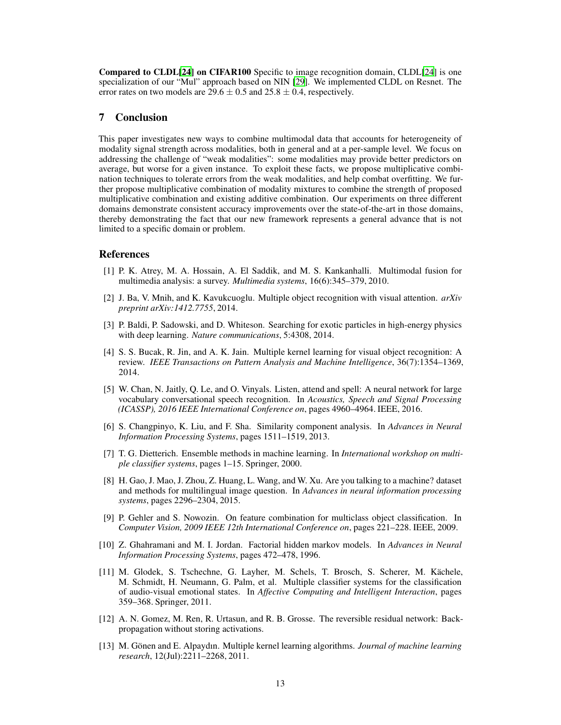Compared to CLDL[\[24\]](#page-13-1) on CIFAR100 Specific to image recognition domain, CLDL[\[24\]](#page-13-1) is one specialization of our "Mul" approach based on NIN [\[29\]](#page-13-12). We implemented CLDL on Resnet. The error rates on two models are  $29.6 \pm 0.5$  and  $25.8 \pm 0.4$ , respectively.

## 7 Conclusion

This paper investigates new ways to combine multimodal data that accounts for heterogeneity of modality signal strength across modalities, both in general and at a per-sample level. We focus on addressing the challenge of "weak modalities": some modalities may provide better predictors on average, but worse for a given instance. To exploit these facts, we propose multiplicative combination techniques to tolerate errors from the weak modalities, and help combat overfitting. We further propose multiplicative combination of modality mixtures to combine the strength of proposed multiplicative combination and existing additive combination. Our experiments on three different domains demonstrate consistent accuracy improvements over the state-of-the-art in those domains, thereby demonstrating the fact that our new framework represents a general advance that is not limited to a specific domain or problem.

## References

- <span id="page-12-0"></span>[1] P. K. Atrey, M. A. Hossain, A. El Saddik, and M. S. Kankanhalli. Multimodal fusion for multimedia analysis: a survey. *Multimedia systems*, 16(6):345–379, 2010.
- <span id="page-12-8"></span>[2] J. Ba, V. Mnih, and K. Kavukcuoglu. Multiple object recognition with visual attention. *arXiv preprint arXiv:1412.7755*, 2014.
- <span id="page-12-12"></span>[3] P. Baldi, P. Sadowski, and D. Whiteson. Searching for exotic particles in high-energy physics with deep learning. *Nature communications*, 5:4308, 2014.
- <span id="page-12-4"></span>[4] S. S. Bucak, R. Jin, and A. K. Jain. Multiple kernel learning for visual object recognition: A review. *IEEE Transactions on Pattern Analysis and Machine Intelligence*, 36(7):1354–1369, 2014.
- <span id="page-12-9"></span>[5] W. Chan, N. Jaitly, Q. Le, and O. Vinyals. Listen, attend and spell: A neural network for large vocabulary conversational speech recognition. In *Acoustics, Speech and Signal Processing (ICASSP), 2016 IEEE International Conference on*, pages 4960–4964. IEEE, 2016.
- <span id="page-12-7"></span>[6] S. Changpinyo, K. Liu, and F. Sha. Similarity component analysis. In *Advances in Neural Information Processing Systems*, pages 1511–1519, 2013.
- <span id="page-12-1"></span>[7] T. G. Dietterich. Ensemble methods in machine learning. In *International workshop on multiple classifier systems*, pages 1–15. Springer, 2000.
- <span id="page-12-10"></span>[8] H. Gao, J. Mao, J. Zhou, Z. Huang, L. Wang, and W. Xu. Are you talking to a machine? dataset and methods for multilingual image question. In *Advances in neural information processing systems*, pages 2296–2304, 2015.
- <span id="page-12-5"></span>[9] P. Gehler and S. Nowozin. On feature combination for multiclass object classification. In *Computer Vision, 2009 IEEE 12th International Conference on*, pages 221–228. IEEE, 2009.
- <span id="page-12-6"></span>[10] Z. Ghahramani and M. I. Jordan. Factorial hidden markov models. In *Advances in Neural Information Processing Systems*, pages 472–478, 1996.
- <span id="page-12-2"></span>[11] M. Glodek, S. Tschechne, G. Layher, M. Schels, T. Brosch, S. Scherer, M. Kächele, M. Schmidt, H. Neumann, G. Palm, et al. Multiple classifier systems for the classification of audio-visual emotional states. In *Affective Computing and Intelligent Interaction*, pages 359–368. Springer, 2011.
- <span id="page-12-11"></span>[12] A. N. Gomez, M. Ren, R. Urtasun, and R. B. Grosse. The reversible residual network: Backpropagation without storing activations.
- <span id="page-12-3"></span>[13] M. Gönen and E. Alpaydın. Multiple kernel learning algorithms. *Journal of machine learning research*, 12(Jul):2211–2268, 2011.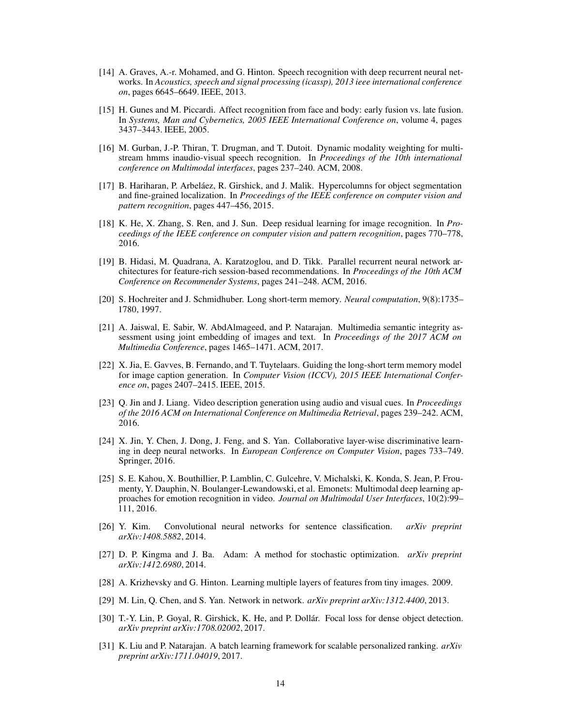- <span id="page-13-15"></span>[14] A. Graves, A.-r. Mohamed, and G. Hinton. Speech recognition with deep recurrent neural networks. In *Acoustics, speech and signal processing (icassp), 2013 ieee international conference on*, pages 6645–6649. IEEE, 2013.
- <span id="page-13-0"></span>[15] H. Gunes and M. Piccardi. Affect recognition from face and body: early fusion vs. late fusion. In *Systems, Man and Cybernetics, 2005 IEEE International Conference on*, volume 4, pages 3437–3443. IEEE, 2005.
- <span id="page-13-2"></span>[16] M. Gurban, J.-P. Thiran, T. Drugman, and T. Dutoit. Dynamic modality weighting for multistream hmms inaudio-visual speech recognition. In *Proceedings of the 10th international conference on Multimodal interfaces*, pages 237–240. ACM, 2008.
- <span id="page-13-11"></span>[17] B. Hariharan, P. Arbeláez, R. Girshick, and J. Malik. Hypercolumns for object segmentation and fine-grained localization. In *Proceedings of the IEEE conference on computer vision and pattern recognition*, pages 447–456, 2015.
- <span id="page-13-13"></span>[18] K. He, X. Zhang, S. Ren, and J. Sun. Deep residual learning for image recognition. In *Proceedings of the IEEE conference on computer vision and pattern recognition*, pages 770–778, 2016.
- <span id="page-13-8"></span>[19] B. Hidasi, M. Quadrana, A. Karatzoglou, and D. Tikk. Parallel recurrent neural network architectures for feature-rich session-based recommendations. In *Proceedings of the 10th ACM Conference on Recommender Systems*, pages 241–248. ACM, 2016.
- <span id="page-13-14"></span>[20] S. Hochreiter and J. Schmidhuber. Long short-term memory. *Neural computation*, 9(8):1735– 1780, 1997.
- <span id="page-13-7"></span>[21] A. Jaiswal, E. Sabir, W. AbdAlmageed, and P. Natarajan. Multimedia semantic integrity assessment using joint embedding of images and text. In *Proceedings of the 2017 ACM on Multimedia Conference*, pages 1465–1471. ACM, 2017.
- <span id="page-13-6"></span>[22] X. Jia, E. Gavves, B. Fernando, and T. Tuytelaars. Guiding the long-short term memory model for image caption generation. In *Computer Vision (ICCV), 2015 IEEE International Conference on*, pages 2407–2415. IEEE, 2015.
- <span id="page-13-4"></span>[23] Q. Jin and J. Liang. Video description generation using audio and visual cues. In *Proceedings of the 2016 ACM on International Conference on Multimedia Retrieval*, pages 239–242. ACM, 2016.
- <span id="page-13-1"></span>[24] X. Jin, Y. Chen, J. Dong, J. Feng, and S. Yan. Collaborative layer-wise discriminative learning in deep neural networks. In *European Conference on Computer Vision*, pages 733–749. Springer, 2016.
- <span id="page-13-3"></span>[25] S. E. Kahou, X. Bouthillier, P. Lamblin, C. Gulcehre, V. Michalski, K. Konda, S. Jean, P. Froumenty, Y. Dauphin, N. Boulanger-Lewandowski, et al. Emonets: Multimodal deep learning approaches for emotion recognition in video. *Journal on Multimodal User Interfaces*, 10(2):99– 111, 2016.
- <span id="page-13-16"></span>[26] Y. Kim. Convolutional neural networks for sentence classification. *arXiv preprint arXiv:1408.5882*, 2014.
- <span id="page-13-17"></span>[27] D. P. Kingma and J. Ba. Adam: A method for stochastic optimization. *arXiv preprint arXiv:1412.6980*, 2014.
- <span id="page-13-10"></span>[28] A. Krizhevsky and G. Hinton. Learning multiple layers of features from tiny images. 2009.
- <span id="page-13-12"></span>[29] M. Lin, Q. Chen, and S. Yan. Network in network. *arXiv preprint arXiv:1312.4400*, 2013.
- <span id="page-13-5"></span>[30] T.-Y. Lin, P. Goyal, R. Girshick, K. He, and P. Dollár. Focal loss for dense object detection. *arXiv preprint arXiv:1708.02002*, 2017.
- <span id="page-13-9"></span>[31] K. Liu and P. Natarajan. A batch learning framework for scalable personalized ranking. *arXiv preprint arXiv:1711.04019*, 2017.